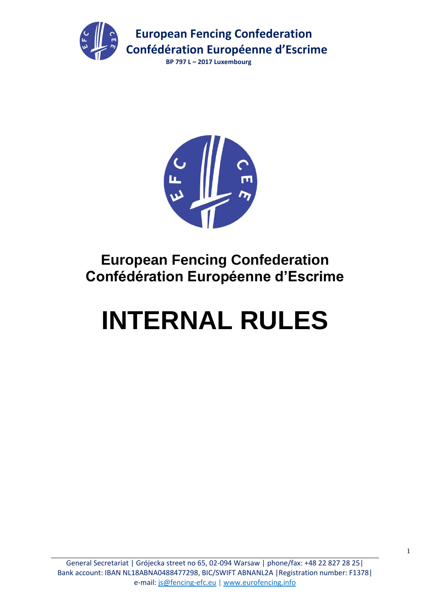



## **European Fencing Confederation Confédération Européenne d'Escrime**

# **INTERNAL RULES**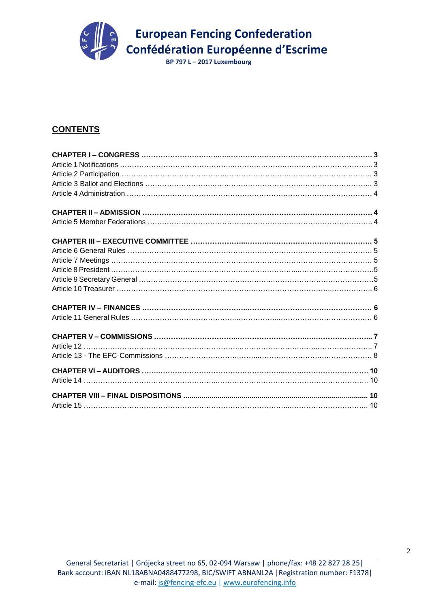

### **CONTENTS**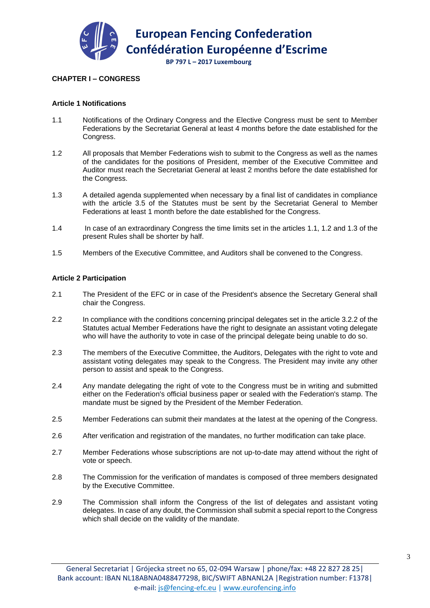

#### **CHAPTER I – CONGRESS**

#### **Article 1 Notifications**

- 1.1 Notifications of the Ordinary Congress and the Elective Congress must be sent to Member Federations by the Secretariat General at least 4 months before the date established for the Congress.
- 1.2 All proposals that Member Federations wish to submit to the Congress as well as the names of the candidates for the positions of President, member of the Executive Committee and Auditor must reach the Secretariat General at least 2 months before the date established for the Congress.
- 1.3 A detailed agenda supplemented when necessary by a final list of candidates in compliance with the article 3.5 of the Statutes must be sent by the Secretariat General to Member Federations at least 1 month before the date established for the Congress.
- 1.4 In case of an extraordinary Congress the time limits set in the articles 1.1, 1.2 and 1.3 of the present Rules shall be shorter by half.
- 1.5 Members of the Executive Committee, and Auditors shall be convened to the Congress.

#### **Article 2 Participation**

- 2.1 The President of the EFC or in case of the President's absence the Secretary General shall chair the Congress.
- 2.2 In compliance with the conditions concerning principal delegates set in the article 3.2.2 of the Statutes actual Member Federations have the right to designate an assistant voting delegate who will have the authority to vote in case of the principal delegate being unable to do so.
- 2.3 The members of the Executive Committee, the Auditors, Delegates with the right to vote and assistant voting delegates may speak to the Congress. The President may invite any other person to assist and speak to the Congress.
- 2.4 Any mandate delegating the right of vote to the Congress must be in writing and submitted either on the Federation's official business paper or sealed with the Federation's stamp. The mandate must be signed by the President of the Member Federation.
- 2.5 Member Federations can submit their mandates at the latest at the opening of the Congress.
- 2.6 After verification and registration of the mandates, no further modification can take place.
- 2.7 Member Federations whose subscriptions are not up-to-date may attend without the right of vote or speech.
- 2.8 The Commission for the verification of mandates is composed of three members designated by the Executive Committee.
- 2.9 The Commission shall inform the Congress of the list of delegates and assistant voting delegates. In case of any doubt, the Commission shall submit a special report to the Congress which shall decide on the validity of the mandate.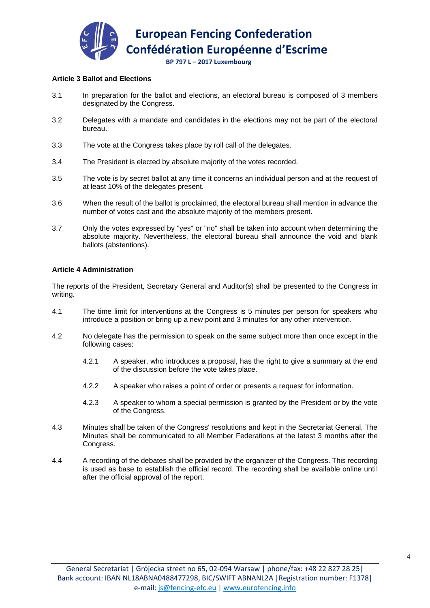

#### **Article 3 Ballot and Elections**

- 3.1 In preparation for the ballot and elections, an electoral bureau is composed of 3 members designated by the Congress.
- 3.2 Delegates with a mandate and candidates in the elections may not be part of the electoral bureau.
- 3.3 The vote at the Congress takes place by roll call of the delegates.
- 3.4 The President is elected by absolute majority of the votes recorded.
- 3.5 The vote is by secret ballot at any time it concerns an individual person and at the request of at least 10% of the delegates present.
- 3.6 When the result of the ballot is proclaimed, the electoral bureau shall mention in advance the number of votes cast and the absolute majority of the members present.
- 3.7 Only the votes expressed by "yes" or "no" shall be taken into account when determining the absolute majority. Nevertheless, the electoral bureau shall announce the void and blank ballots (abstentions).

#### **Article 4 Administration**

The reports of the President, Secretary General and Auditor(s) shall be presented to the Congress in writing.

- 4.1 The time limit for interventions at the Congress is 5 minutes per person for speakers who introduce a position or bring up a new point and 3 minutes for any other intervention.
- 4.2 No delegate has the permission to speak on the same subject more than once except in the following cases:
	- 4.2.1 A speaker, who introduces a proposal, has the right to give a summary at the end of the discussion before the vote takes place.
	- 4.2.2 A speaker who raises a point of order or presents a request for information.
	- 4.2.3 A speaker to whom a special permission is granted by the President or by the vote of the Congress.
- 4.3 Minutes shall be taken of the Congress' resolutions and kept in the Secretariat General. The Minutes shall be communicated to all Member Federations at the latest 3 months after the Congress.
- 4.4 A recording of the debates shall be provided by the organizer of the Congress. This recording is used as base to establish the official record. The recording shall be available online until after the official approval of the report.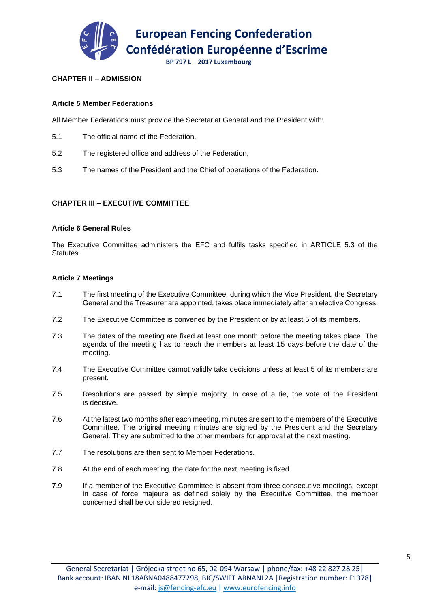

#### **CHAPTER II – ADMISSION**

#### **Article 5 Member Federations**

All Member Federations must provide the Secretariat General and the President with:

- 5.1 The official name of the Federation,
- 5.2 The registered office and address of the Federation,
- 5.3 The names of the President and the Chief of operations of the Federation.

#### **CHAPTER III – EXECUTIVE COMMITTEE**

#### **Article 6 General Rules**

The Executive Committee administers the EFC and fulfils tasks specified in ARTICLE 5.3 of the Statutes.

#### **Article 7 Meetings**

- 7.1 The first meeting of the Executive Committee, during which the Vice President, the Secretary General and the Treasurer are appointed, takes place immediately after an elective Congress.
- 7.2 The Executive Committee is convened by the President or by at least 5 of its members.
- 7.3 The dates of the meeting are fixed at least one month before the meeting takes place. The agenda of the meeting has to reach the members at least 15 days before the date of the meeting.
- 7.4 The Executive Committee cannot validly take decisions unless at least 5 of its members are present.
- 7.5 Resolutions are passed by simple majority. In case of a tie, the vote of the President is decisive.
- 7.6 At the latest two months after each meeting, minutes are sent to the members of the Executive Committee. The original meeting minutes are signed by the President and the Secretary General. They are submitted to the other members for approval at the next meeting.
- 7.7 The resolutions are then sent to Member Federations.
- 7.8 At the end of each meeting, the date for the next meeting is fixed.
- 7.9 If a member of the Executive Committee is absent from three consecutive meetings, except in case of force majeure as defined solely by the Executive Committee, the member concerned shall be considered resigned.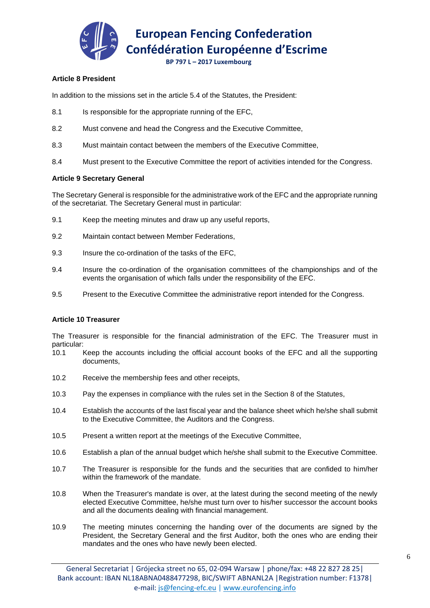

 **European Fencing Confederation Confédération Européenne d'Escrime**

 **BP 797 L – 2017 Luxembourg**

#### **Article 8 President**

In addition to the missions set in the article 5.4 of the Statutes, the President:

- 8.1 Is responsible for the appropriate running of the EFC.
- 8.2 Must convene and head the Congress and the Executive Committee,
- 8.3 Must maintain contact between the members of the Executive Committee,
- 8.4 Must present to the Executive Committee the report of activities intended for the Congress.

#### **Article 9 Secretary General**

The Secretary General is responsible for the administrative work of the EFC and the appropriate running of the secretariat. The Secretary General must in particular:

- 9.1 Keep the meeting minutes and draw up any useful reports,
- 9.2 Maintain contact between Member Federations,
- 9.3 Insure the co-ordination of the tasks of the EFC,
- 9.4 Insure the co-ordination of the organisation committees of the championships and of the events the organisation of which falls under the responsibility of the EFC.
- 9.5 Present to the Executive Committee the administrative report intended for the Congress.

#### **Article 10 Treasurer**

The Treasurer is responsible for the financial administration of the EFC. The Treasurer must in particular:

- 10.1 Keep the accounts including the official account books of the EFC and all the supporting documents,
- 10.2 Receive the membership fees and other receipts,
- 10.3 Pay the expenses in compliance with the rules set in the Section 8 of the Statutes,
- 10.4 Establish the accounts of the last fiscal year and the balance sheet which he/she shall submit to the Executive Committee, the Auditors and the Congress.
- 10.5 Present a written report at the meetings of the Executive Committee,
- 10.6 Establish a plan of the annual budget which he/she shall submit to the Executive Committee.
- 10.7 The Treasurer is responsible for the funds and the securities that are confided to him/her within the framework of the mandate.
- 10.8 When the Treasurer's mandate is over, at the latest during the second meeting of the newly elected Executive Committee, he/she must turn over to his/her successor the account books and all the documents dealing with financial management.
- 10.9 The meeting minutes concerning the handing over of the documents are signed by the President, the Secretary General and the first Auditor, both the ones who are ending their mandates and the ones who have newly been elected.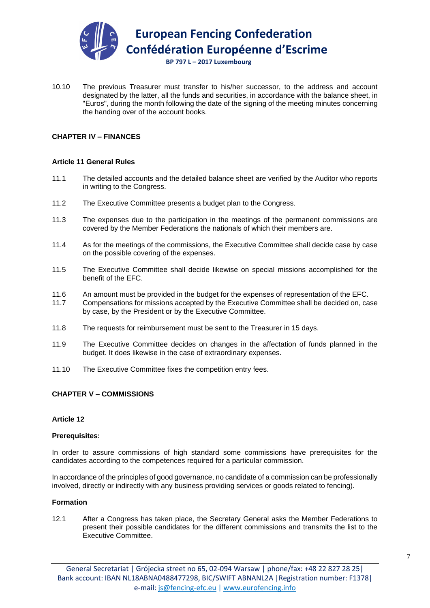

10.10 The previous Treasurer must transfer to his/her successor, to the address and account designated by the latter, all the funds and securities, in accordance with the balance sheet, in "Euros", during the month following the date of the signing of the meeting minutes concerning the handing over of the account books.

#### **CHAPTER IV – FINANCES**

#### **Article 11 General Rules**

- 11.1 The detailed accounts and the detailed balance sheet are verified by the Auditor who reports in writing to the Congress.
- 11.2 The Executive Committee presents a budget plan to the Congress.
- 11.3 The expenses due to the participation in the meetings of the permanent commissions are covered by the Member Federations the nationals of which their members are.
- 11.4 As for the meetings of the commissions, the Executive Committee shall decide case by case on the possible covering of the expenses.
- 11.5 The Executive Committee shall decide likewise on special missions accomplished for the benefit of the EFC.
- 11.6 An amount must be provided in the budget for the expenses of representation of the EFC.
- 11.7 Compensations for missions accepted by the Executive Committee shall be decided on, case by case, by the President or by the Executive Committee.
- 11.8 The requests for reimbursement must be sent to the Treasurer in 15 days.
- 11.9 The Executive Committee decides on changes in the affectation of funds planned in the budget. It does likewise in the case of extraordinary expenses.
- 11.10 The Executive Committee fixes the competition entry fees.

#### **CHAPTER V – COMMISSIONS**

#### **Article 12**

#### **Prerequisites:**

In order to assure commissions of high standard some commissions have prerequisites for the candidates according to the competences required for a particular commission.

In accordance of the principles of good governance, no candidate of a commission can be professionally involved, directly or indirectly with any business providing services or goods related to fencing).

#### **Formation**

12.1 After a Congress has taken place, the Secretary General asks the Member Federations to present their possible candidates for the different commissions and transmits the list to the Executive Committee.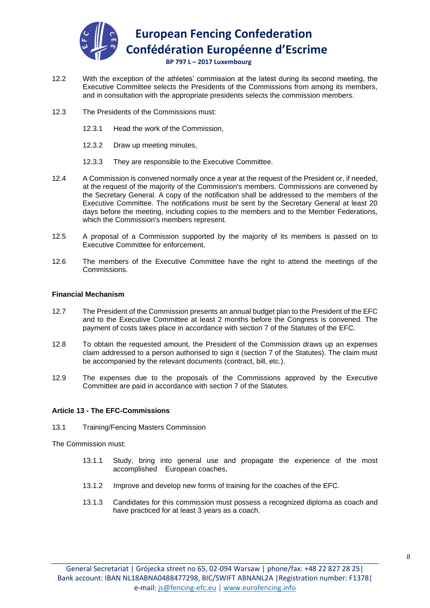

- 12.2 With the exception of the athletes' commission at the latest during its second meeting, the Executive Committee selects the Presidents of the Commissions from among its members, and in consultation with the appropriate presidents selects the commission members.
- 12.3 The Presidents of the Commissions must:
	- 12.3.1 Head the work of the Commission,
	- 12.3.2 Draw up meeting minutes,
	- 12.3.3 They are responsible to the Executive Committee.
- 12.4 A Commission is convened normally once a year at the request of the President or, if needed, at the request of the majority of the Commission's members. Commissions are convened by the Secretary General. A copy of the notification shall be addressed to the members of the Executive Committee. The notifications must be sent by the Secretary General at least 20 days before the meeting, including copies to the members and to the Member Federations, which the Commission's members represent.
- 12.5 A proposal of a Commission supported by the majority of its members is passed on to Executive Committee for enforcement.
- 12.6 The members of the Executive Committee have the right to attend the meetings of the Commissions.

#### **Financial Mechanism**

- 12.7 The President of the Commission presents an annual budget plan to the President of the EFC and to the Executive Committee at least 2 months before the Congress is convened. The payment of costs takes place in accordance with section 7 of the Statutes of the EFC.
- 12.8 To obtain the requested amount, the President of the Commission draws up an expenses claim addressed to a person authorised to sign it (section 7 of the Statutes). The claim must be accompanied by the relevant documents (contract, bill, etc.).
- 12.9 The expenses due to the proposals of the Commissions approved by the Executive Committee are paid in accordance with section 7 of the Statutes.

#### **Article 13 - The EFC-Commissions**

13.1 Training/Fencing Masters Commission

The Commission must:

- 13.1.1 Study, bring into general use and propagate the experience of the most accomplished European coaches,
- 13.1.2 Improve and develop new forms of training for the coaches of the EFC.
- 13.1.3 Candidates for this commission must possess a recognized diploma as coach and have practiced for at least 3 years as a coach.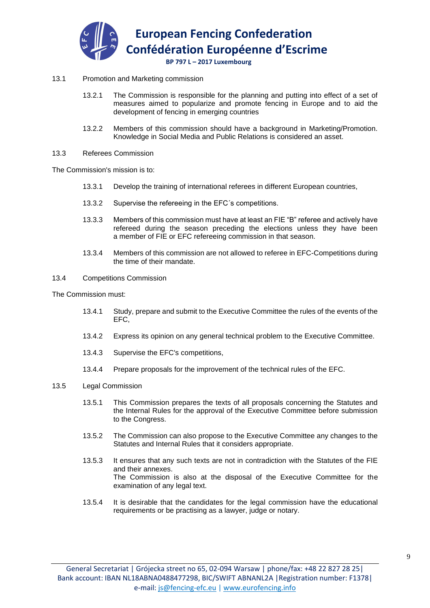

#### 13.1 Promotion and Marketing commission

- 13.2.1 The Commission is responsible for the planning and putting into effect of a set of measures aimed to popularize and promote fencing in Europe and to aid the development of fencing in emerging countries
- 13.2.2 Members of this commission should have a background in Marketing/Promotion. Knowledge in Social Media and Public Relations is considered an asset.
- 13.3 Referees Commission

The Commission's mission is to:

- 13.3.1 Develop the training of international referees in different European countries,
- 13.3.2 Supervise the refereeing in the EFC´s competitions.
- 13.3.3 Members of this commission must have at least an FIE "B" referee and actively have refereed during the season preceding the elections unless they have been a member of FIE or EFC refereeing commission in that season.
- 13.3.4 Members of this commission are not allowed to referee in EFC-Competitions during the time of their mandate.

#### 13.4 Competitions Commission

The Commission must:

- 13.4.1 Study, prepare and submit to the Executive Committee the rules of the events of the EFC,
- 13.4.2 Express its opinion on any general technical problem to the Executive Committee.
- 13.4.3 Supervise the EFC's competitions,
- 13.4.4 Prepare proposals for the improvement of the technical rules of the EFC.

#### 13.5 Legal Commission

- 13.5.1 This Commission prepares the texts of all proposals concerning the Statutes and the Internal Rules for the approval of the Executive Committee before submission to the Congress.
- 13.5.2 The Commission can also propose to the Executive Committee any changes to the Statutes and Internal Rules that it considers appropriate.
- 13.5.3 It ensures that any such texts are not in contradiction with the Statutes of the FIE and their annexes. The Commission is also at the disposal of the Executive Committee for the examination of any legal text.
- 13.5.4 It is desirable that the candidates for the legal commission have the educational requirements or be practising as a lawyer, judge or notary.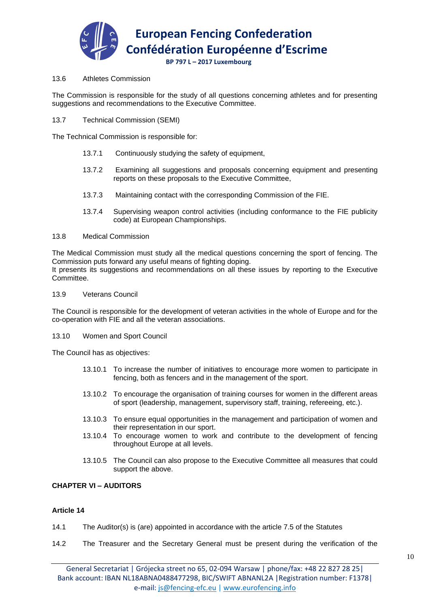

#### 13.6 Athletes Commission

The Commission is responsible for the study of all questions concerning athletes and for presenting suggestions and recommendations to the Executive Committee.

13.7 Technical Commission (SEMI)

The Technical Commission is responsible for:

- 13.7.1 Continuously studying the safety of equipment,
- 13.7.2 Examining all suggestions and proposals concerning equipment and presenting reports on these proposals to the Executive Committee,
- 13.7.3 Maintaining contact with the corresponding Commission of the FIE.
- 13.7.4 Supervising weapon control activities (including conformance to the FIE publicity code) at European Championships.

#### 13.8 Medical Commission

The Medical Commission must study all the medical questions concerning the sport of fencing. The Commission puts forward any useful means of fighting doping.

It presents its suggestions and recommendations on all these issues by reporting to the Executive Committee.

#### 13.9 Veterans Council

The Council is responsible for the development of veteran activities in the whole of Europe and for the co-operation with FIE and all the veteran associations.

#### 13.10 Women and Sport Council

The Council has as objectives:

- 13.10.1 To increase the number of initiatives to encourage more women to participate in fencing, both as fencers and in the management of the sport.
- 13.10.2 To encourage the organisation of training courses for women in the different areas of sport (leadership, management, supervisory staff, training, refereeing, etc.).
- 13.10.3 To ensure equal opportunities in the management and participation of women and their representation in our sport.
- 13.10.4 To encourage women to work and contribute to the development of fencing throughout Europe at all levels.
- 13.10.5 The Council can also propose to the Executive Committee all measures that could support the above.

#### **CHAPTER VI – AUDITORS**

#### **Article 14**

- 14.1 The Auditor(s) is (are) appointed in accordance with the article 7.5 of the Statutes
- 14.2 The Treasurer and the Secretary General must be present during the verification of the